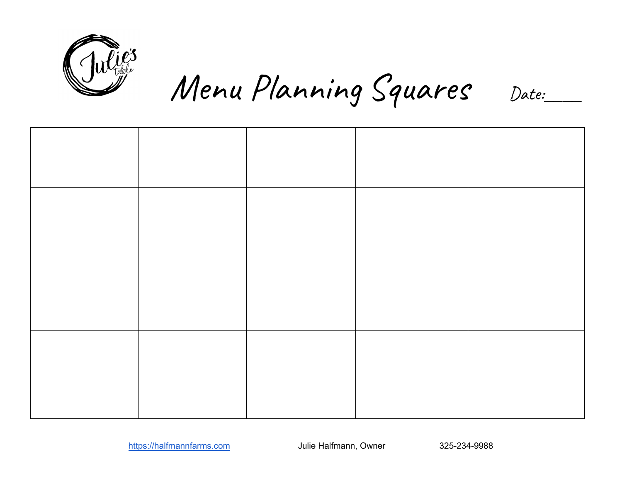

Menu Planning Squares Date:\_\_\_\_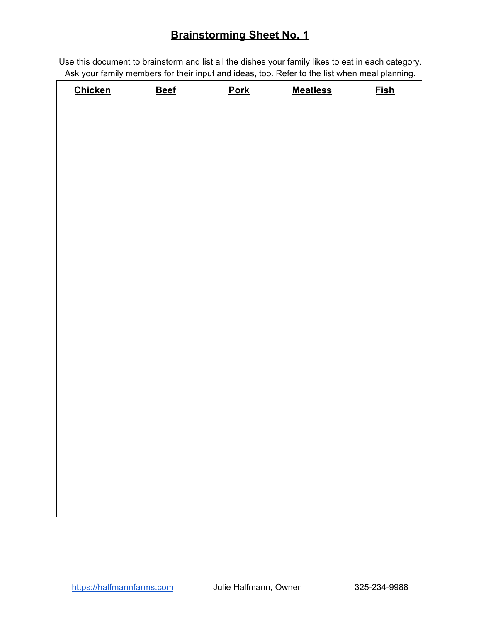# **Brainstorming Sheet No. 1**

Use this document to brainstorm and list all the dishes your family likes to eat in each category. Ask your family members for their input and ideas, too. Refer to the list when meal planning.

| <b>Chicken</b> | <b>Beef</b> | <b>Pork</b> | <b>Meatless</b> | <b>Fish</b> |
|----------------|-------------|-------------|-----------------|-------------|
|                |             |             |                 |             |
|                |             |             |                 |             |
|                |             |             |                 |             |
|                |             |             |                 |             |
|                |             |             |                 |             |
|                |             |             |                 |             |
|                |             |             |                 |             |
|                |             |             |                 |             |
|                |             |             |                 |             |
|                |             |             |                 |             |
|                |             |             |                 |             |
|                |             |             |                 |             |
|                |             |             |                 |             |
|                |             |             |                 |             |
|                |             |             |                 |             |
|                |             |             |                 |             |
|                |             |             |                 |             |
|                |             |             |                 |             |
|                |             |             |                 |             |
|                |             |             |                 |             |
|                |             |             |                 |             |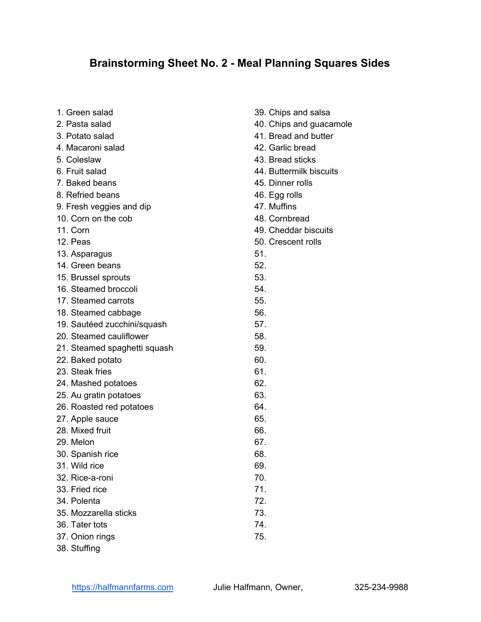## **Brainstorming Sheet No. 2 - Meal Planning Squares Sides**

| 1. Green salad               | 39. |
|------------------------------|-----|
| 2. Pasta salad               | 40. |
| 3. Potato salad              | 41. |
| 4. Macaroni salad            | 42. |
| 5. Coleslaw                  | 43. |
| 6. Fruit salad               | 44. |
| 7. Baked beans               | 45. |
| 8. Refried beans             | 46. |
| 9. Fresh veggies and dip     | 47. |
| 10. Corn on the cob          | 48. |
| 11. Corn                     | 49. |
| 12. Peas                     | 50. |
| 13. Asparagus                | 51. |
| 14. Green beans              | 52. |
| 15. Brussel sprouts          | 53. |
| 16. Steamed broccoli         | 54. |
| 17. Steamed carrots          | 55. |
| 18. Steamed cabbage          | 56. |
| 19. Sautéed zucchini/squash  | 57. |
| 20. Steamed cauliflower      | 58. |
| 21. Steamed spaghetti squash | 59. |
| 22. Baked potato             | 60. |
| 23. Steak fries              | 61. |
| 24. Mashed potatoes          | 62. |
| 25. Au gratin potatoes       | 63. |
| 26. Roasted red potatoes     | 64. |
| 27. Apple sauce              | 65. |
| 28. Mixed fruit              | 66. |
| 29. Melon                    | 67. |
| 30. Spanish rice             | 68. |
| 31. Wild rice                | 69. |
| 32. Rice-a-roni              | 70. |
| 33. Fried rice               | 71. |
| 34. Polenta                  | 72. |
| 35. Mozzarella sticks        | 73. |
| 36. Tater tots               | 74. |
| 37. Onion rings              | 75. |
| 38. Stuffing                 |     |

Chips and salsa Chips and guacamole Bread and butter Garlic bread **Bread sticks Buttermilk biscuits** Dinner rolls Egg rolls **Muffins Cornbread** Cheddar biscuits Crescent rolls 51. 52. 53. 54. 55. 56. 57. 58. 59. 60. 61. 62. 63. 64. 65. 66. 67. 68. 69. 70. 71. 72. 73.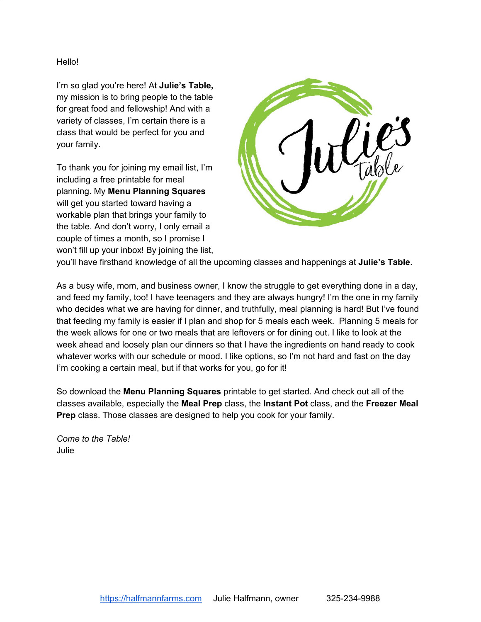Hello!

I'm so glad you're here! At **Julie's Table,** my mission is to bring people to the table for great food and fellowship! And with a variety of classes, I'm certain there is a class that would be perfect for you and your family.

To thank you for joining my email list, I'm including a free printable for meal planning. My **Menu Planning Squares** will get you started toward having a workable plan that brings your family to the table. And don't worry, I only email a couple of times a month, so I promise I won't fill up your inbox! By joining the list,



you'll have firsthand knowledge of all the upcoming classes and happenings at **Julie's Table.**

As a busy wife, mom, and business owner, I know the struggle to get everything done in a day, and feed my family, too! I have teenagers and they are always hungry! I'm the one in my family who decides what we are having for dinner, and truthfully, meal planning is hard! But I've found that feeding my family is easier if I plan and shop for 5 meals each week. Planning 5 meals for the week allows for one or two meals that are leftovers or for dining out. I like to look at the week ahead and loosely plan our dinners so that I have the ingredients on hand ready to cook whatever works with our schedule or mood. I like options, so I'm not hard and fast on the day I'm cooking a certain meal, but if that works for you, go for it!

So download the **Menu Planning Squares** printable to get started. And check out all of the classes available, especially the **Meal Prep** class, the **Instant Pot** class, and the **Freezer Meal Prep** class. Those classes are designed to help you cook for your family.

*Come to the Table!* Julie